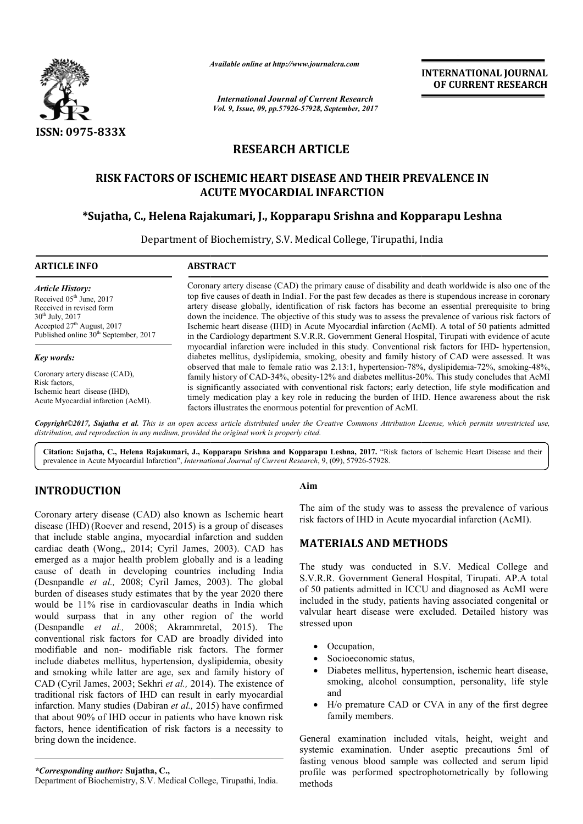

*Available online at http://www.journal http://www.journalcra.com*

# **RESEARCH ARTICLE**

## **RISK FACTORS OF ISCHEMIC HEART DISEASE AND THEIR PREVALENCE IN ACUTE MYOCARDIAL INFARCTION**

## **\*Sujatha, C., Helena Rajakumari, J., Kopparapu Srishna and Kopparapu Leshna Sujatha,**

|                                                                                                                                                                                                                                                                                                                                                                                                                                                                                                                                                                                                                                                                                                                                                                                                                                                                                                                                                                                                                                                             | лтините опине интир.//www.journuicru.com                                                                                                                                                                                                                                                                                                                                                                                                                                                                                                                                                                                                                                                             | <b>INTERNATIONAL JOURNAL</b><br>OF CURRENT RESEARCH<br><b>International Journal of Current Research</b>                                                                                                                                                                                                                                                                                                                                                                                                                                                                                |  |  |
|-------------------------------------------------------------------------------------------------------------------------------------------------------------------------------------------------------------------------------------------------------------------------------------------------------------------------------------------------------------------------------------------------------------------------------------------------------------------------------------------------------------------------------------------------------------------------------------------------------------------------------------------------------------------------------------------------------------------------------------------------------------------------------------------------------------------------------------------------------------------------------------------------------------------------------------------------------------------------------------------------------------------------------------------------------------|------------------------------------------------------------------------------------------------------------------------------------------------------------------------------------------------------------------------------------------------------------------------------------------------------------------------------------------------------------------------------------------------------------------------------------------------------------------------------------------------------------------------------------------------------------------------------------------------------------------------------------------------------------------------------------------------------|----------------------------------------------------------------------------------------------------------------------------------------------------------------------------------------------------------------------------------------------------------------------------------------------------------------------------------------------------------------------------------------------------------------------------------------------------------------------------------------------------------------------------------------------------------------------------------------|--|--|
|                                                                                                                                                                                                                                                                                                                                                                                                                                                                                                                                                                                                                                                                                                                                                                                                                                                                                                                                                                                                                                                             |                                                                                                                                                                                                                                                                                                                                                                                                                                                                                                                                                                                                                                                                                                      | Vol. 9, Issue, 09, pp.57926-57928, September, 2017                                                                                                                                                                                                                                                                                                                                                                                                                                                                                                                                     |  |  |
| ISSN: 0975-833X                                                                                                                                                                                                                                                                                                                                                                                                                                                                                                                                                                                                                                                                                                                                                                                                                                                                                                                                                                                                                                             |                                                                                                                                                                                                                                                                                                                                                                                                                                                                                                                                                                                                                                                                                                      |                                                                                                                                                                                                                                                                                                                                                                                                                                                                                                                                                                                        |  |  |
|                                                                                                                                                                                                                                                                                                                                                                                                                                                                                                                                                                                                                                                                                                                                                                                                                                                                                                                                                                                                                                                             |                                                                                                                                                                                                                                                                                                                                                                                                                                                                                                                                                                                                                                                                                                      | <b>RESEARCH ARTICLE</b>                                                                                                                                                                                                                                                                                                                                                                                                                                                                                                                                                                |  |  |
|                                                                                                                                                                                                                                                                                                                                                                                                                                                                                                                                                                                                                                                                                                                                                                                                                                                                                                                                                                                                                                                             |                                                                                                                                                                                                                                                                                                                                                                                                                                                                                                                                                                                                                                                                                                      | RISK FACTORS OF ISCHEMIC HEART DISEASE AND THEIR PREVALENCE IN<br><b>ACUTE MYOCARDIAL INFARCTION</b>                                                                                                                                                                                                                                                                                                                                                                                                                                                                                   |  |  |
|                                                                                                                                                                                                                                                                                                                                                                                                                                                                                                                                                                                                                                                                                                                                                                                                                                                                                                                                                                                                                                                             |                                                                                                                                                                                                                                                                                                                                                                                                                                                                                                                                                                                                                                                                                                      | *Sujatha, C., Helena Rajakumari, J., Kopparapu Srishna and Kopparapu Leshna                                                                                                                                                                                                                                                                                                                                                                                                                                                                                                            |  |  |
| <b>ARTICLE INFO</b>                                                                                                                                                                                                                                                                                                                                                                                                                                                                                                                                                                                                                                                                                                                                                                                                                                                                                                                                                                                                                                         | <b>ABSTRACT</b>                                                                                                                                                                                                                                                                                                                                                                                                                                                                                                                                                                                                                                                                                      | Department of Biochemistry, S.V. Medical College, Tirupathi, India                                                                                                                                                                                                                                                                                                                                                                                                                                                                                                                     |  |  |
| <b>Article History:</b><br>Received 05 <sup>th</sup> June, 2017<br>Received in revised form<br>30 <sup>th</sup> July, 2017<br>Accepted 27 <sup>th</sup> August, 2017<br>Published online 30 <sup>th</sup> September, 2017                                                                                                                                                                                                                                                                                                                                                                                                                                                                                                                                                                                                                                                                                                                                                                                                                                   | Coronary artery disease (CAD) the primary cause of disability and death worldwide is also one of the<br>top five causes of death in India1. For the past few decades as there is stupendous increase in coronary<br>artery disease globally, identification of risk factors has become an essential prerequisite to bring<br>down the incidence. The objective of this study was to assess the prevalence of various risk factors of<br>Ischemic heart disease (IHD) in Acute Myocardial infarction (AcMI). A total of 50 patients admitted<br>in the Cardiology department S.V.R.R. Government General Hospital, Tirupati with evidence of acute                                                    |                                                                                                                                                                                                                                                                                                                                                                                                                                                                                                                                                                                        |  |  |
| <b>Key words:</b><br>Coronary artery disease (CAD),<br>Risk factors,<br>Ischemic heart disease (IHD),<br>Acute Myocardial infarction (AcMI).                                                                                                                                                                                                                                                                                                                                                                                                                                                                                                                                                                                                                                                                                                                                                                                                                                                                                                                | myocardial infarction were included in this study. Conventional risk factors for IHD- hypertension,<br>diabetes mellitus, dyslipidemia, smoking, obesity and family history of CAD were assessed. It was<br>observed that male to female ratio was 2.13:1, hypertension-78%, dyslipidemia-72%, smoking-48%,<br>family history of CAD-34%, obesity-12% and diabetes mellitus-20%. This study concludes that AcMI<br>is significantly associated with conventional risk factors; early detection, life style modification and<br>timely medication play a key role in reducing the burden of IHD. Hence awareness about the risk<br>factors illustrates the enormous potential for prevention of AcMI. |                                                                                                                                                                                                                                                                                                                                                                                                                                                                                                                                                                                        |  |  |
| distribution, and reproduction in any medium, provided the original work is properly cited.                                                                                                                                                                                                                                                                                                                                                                                                                                                                                                                                                                                                                                                                                                                                                                                                                                                                                                                                                                 |                                                                                                                                                                                                                                                                                                                                                                                                                                                                                                                                                                                                                                                                                                      | Copyright©2017, Sujatha et al. This is an open access article distributed under the Creative Commons Attribution License, which permits unrestricted use,<br>Citation: Sujatha, C., Helena Rajakumari, J., Kopparapu Srishna and Kopparapu Leshna, 2017. "Risk factors of Ischemic Heart Disease and their                                                                                                                                                                                                                                                                             |  |  |
| prevalence in Acute Myocardial Infarction", International Journal of Current Research, 9, (09), 57926-57928.                                                                                                                                                                                                                                                                                                                                                                                                                                                                                                                                                                                                                                                                                                                                                                                                                                                                                                                                                |                                                                                                                                                                                                                                                                                                                                                                                                                                                                                                                                                                                                                                                                                                      |                                                                                                                                                                                                                                                                                                                                                                                                                                                                                                                                                                                        |  |  |
| <b>INTRODUCTION</b>                                                                                                                                                                                                                                                                                                                                                                                                                                                                                                                                                                                                                                                                                                                                                                                                                                                                                                                                                                                                                                         |                                                                                                                                                                                                                                                                                                                                                                                                                                                                                                                                                                                                                                                                                                      | Aim                                                                                                                                                                                                                                                                                                                                                                                                                                                                                                                                                                                    |  |  |
| Coronary artery disease (CAD) also known as Ischemic heart<br>disease (IHD) (Roever and resend, 2015) is a group of diseases                                                                                                                                                                                                                                                                                                                                                                                                                                                                                                                                                                                                                                                                                                                                                                                                                                                                                                                                |                                                                                                                                                                                                                                                                                                                                                                                                                                                                                                                                                                                                                                                                                                      | The aim of the study was to assess the prevalence of various<br>risk factors of IHD in Acute myocardial infarction (AcMI).                                                                                                                                                                                                                                                                                                                                                                                                                                                             |  |  |
| that include stable angina, myocardial infarction and sudden<br>cardiac death (Wong,, 2014; Cyril James, 2003). CAD has                                                                                                                                                                                                                                                                                                                                                                                                                                                                                                                                                                                                                                                                                                                                                                                                                                                                                                                                     |                                                                                                                                                                                                                                                                                                                                                                                                                                                                                                                                                                                                                                                                                                      | <b>MATERIALS AND METHODS</b>                                                                                                                                                                                                                                                                                                                                                                                                                                                                                                                                                           |  |  |
| emerged as a major health problem globally and is a leading<br>cause of death in developing countries including India<br>(Desnpandle et al., 2008; Cyril James, 2003). The global<br>burden of diseases study estimates that by the year 2020 there<br>would be 11% rise in cardiovascular deaths in India which<br>would surpass that in any other region of the world<br>(Desnpandle et al., 2008; Akrammretal, 2015). The<br>conventional risk factors for CAD are broadly divided into<br>modifiable and non- modifiable risk factors. The former<br>include diabetes mellitus, hypertension, dyslipidemia, obesity<br>and smoking while latter are age, sex and family history of<br>CAD (Cyril James, 2003; Sekhri et al., 2014). The existence of<br>traditional risk factors of IHD can result in early myocardial<br>infarction. Many studies (Dabiran et al., 2015) have confirmed<br>that about 90% of IHD occur in patients who have known risk<br>factors, hence identification of risk factors is a necessity to<br>bring down the incidence. |                                                                                                                                                                                                                                                                                                                                                                                                                                                                                                                                                                                                                                                                                                      | The study was conducted in S.V. Medical College and<br>S.V.R.R. Government General Hospital, Tirupati. AP.A total<br>of 50 patients admitted in ICCU and diagnosed as AcMI were<br>included in the study, patients having associated congenital or<br>valvular heart disease were excluded. Detailed history was<br>stressed upon<br>Occupation,<br>$\bullet$<br>Socioeconomic status,<br>Diabetes mellitus, hypertension, ischemic heart disease,<br>smoking, alcohol consumption, personality, life style<br>and<br>H/o premature CAD or CVA in any of the first degree<br>$\bullet$ |  |  |
|                                                                                                                                                                                                                                                                                                                                                                                                                                                                                                                                                                                                                                                                                                                                                                                                                                                                                                                                                                                                                                                             |                                                                                                                                                                                                                                                                                                                                                                                                                                                                                                                                                                                                                                                                                                      | family members.<br>General examination included vitals, height, weight and<br>systemic examination. Under aseptic precautions 5ml of<br>fasting venous blood sample was collected and serum lipid                                                                                                                                                                                                                                                                                                                                                                                      |  |  |
| *Corresponding author: Sujatha, C.,                                                                                                                                                                                                                                                                                                                                                                                                                                                                                                                                                                                                                                                                                                                                                                                                                                                                                                                                                                                                                         |                                                                                                                                                                                                                                                                                                                                                                                                                                                                                                                                                                                                                                                                                                      | profile was performed spectrophotometrically by following                                                                                                                                                                                                                                                                                                                                                                                                                                                                                                                              |  |  |

## **INTRODUCTION**

Department of Biochemistry, S.V. Medical College, Tirupathi, India.

#### **Aim**

## **MATERIALS AND METHODS METHODS**

- Occupation,
- Socioeconomic status,
- Diabetes mellitus, hypertension, ischemic heart disease, smoking, alcohol consumption, personality, life style and
- H/o premature CAD or CVA in any of the first degree family members.

General examination included vitals, height, weight and systemic examination. Under aseptic precautions 5ml of fasting venous blood sample was collected and serum lipid profile was performed spectrophotometrically by following methods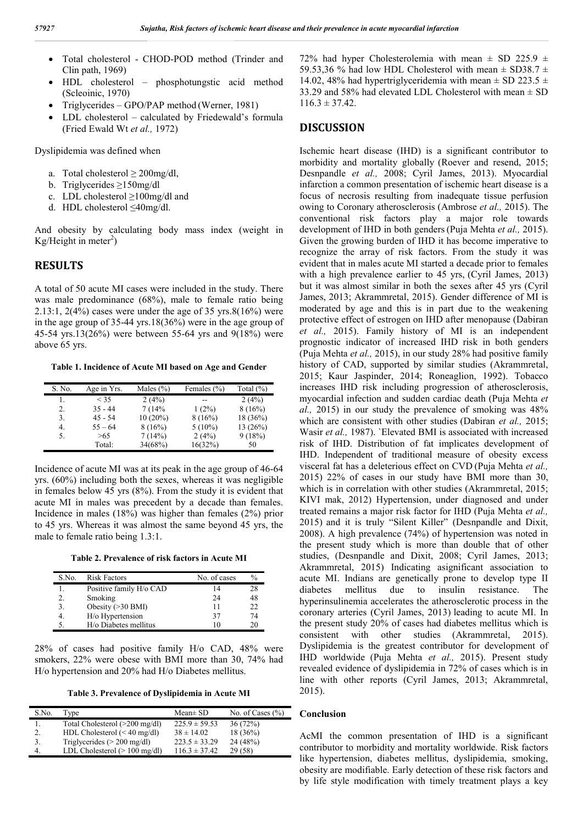- Total cholesterol CHOD-POD method (Trinder and Clin path, 1969)
- HDL cholesterol phosphotungstic acid method (Scleoinic, 1970)
- Triglycerides GPO/PAP method (Werner, 1981)
- LDL cholesterol calculated by Friedewald's formula (Fried Ewald Wt *et al.,* 1972)

Dyslipidemia was defined when

- a. Total cholesterol  $\geq 200$ mg/dl,
- b. Triglycerides ≥150mg/dl
- c. LDL cholesterol ≥100mg/dl and
- d. HDL cholesterol ≤40mg/dl.

And obesity by calculating body mass index (weight in Kg/Height in meter<sup>2</sup>)

#### **RESULTS**

A total of 50 acute MI cases were included in the study. There was male predominance (68%), male to female ratio being 2.13:1, 2(4%) cases were under the age of 35 yrs.8(16%) were in the age group of 35-44 yrs.18(36%) were in the age group of 45-54 yrs.13(26%) were between 55-64 yrs and 9(18%) were above 65 yrs.

**Table 1. Incidence of Acute MI based on Age and Gender**

| S. No. | Age in Yrs. | Males $(\% )$ | Females (%) | Total $(\% )$ |
|--------|-------------|---------------|-------------|---------------|
|        | < 35        | 2(4%)         |             | 2(4%)         |
| 2.     | $35 - 44$   | 7(14%         | 1(2%)       | 8(16%)        |
| 3.     | $45 - 54$   | $10(20\%)$    | 8(16%)      | 18(36%)       |
| 4.     | $55 - 64$   | 8(16%)        | $5(10\%)$   | 13(26%)       |
| 5.     | >65         | 7(14%)        | 2(4%)       | 9(18%)        |
|        | Total:      | 34(68%)       | 16(32%)     | 50            |

Incidence of acute MI was at its peak in the age group of 46-64 yrs. (60%) including both the sexes, whereas it was negligible in females below 45 yrs (8%). From the study it is evident that acute MI in males was precedent by a decade than females. Incidence in males (18%) was higher than females (2%) prior to 45 yrs. Whereas it was almost the same beyond 45 yrs, the male to female ratio being 1.3:1.

**Table 2. Prevalence of risk factors in Acute MI**

| S.No. | <b>Risk Factors</b>     | No. of cases | $\%$ |
|-------|-------------------------|--------------|------|
|       | Positive family H/o CAD | 14           | 28   |
|       | Smoking                 | 24           | 48   |
|       | Obesity $(>30$ BMI)     | 11           | 22   |
|       | H/o Hypertension        | 37           | 74   |
|       | H/o Diabetes mellitus   | 10           | 20   |

28% of cases had positive family H/o CAD, 48% were smokers, 22% were obese with BMI more than 30, 74% had H/o hypertension and 20% had H/o Diabetes mellitus.

**Table 3. Prevalence of Dyslipidemia in Acute MI**

| S.No. | Type                                   | $Mean \pm SD$     | No. of Cases $(\% )$ |
|-------|----------------------------------------|-------------------|----------------------|
|       | Total Cholesterol (>200 mg/dl)         | $225.9 \pm 59.53$ | 36(72%)              |
|       | HDL Cholesterol $(< 40$ mg/dl)         | $38 \pm 14.02$    | 18(36%)              |
|       | Triglycerides ( $> 200$ mg/dl)         | $223.5 \pm 33.29$ | 24(48%)              |
|       | LDL Cholesterol $(>100 \text{ mg/dl})$ | $116.3 \pm 37.42$ | 29(58)               |

72% had hyper Cholesterolemia with mean  $\pm$  SD 225.9  $\pm$ 59.53,36 % had low HDL Cholesterol with mean  $\pm$  SD38.7  $\pm$ 14.02, 48% had hypertriglyceridemia with mean  $\pm$  SD 223.5  $\pm$ 33.29 and 58% had elevated LDL Cholesterol with mean ± SD  $116.3 \pm 37.42$ .

#### **DISCUSSION**

Ischemic heart disease (IHD) is a significant contributor to morbidity and mortality globally (Roever and resend, 2015; Desnpandle *et al.,* 2008; Cyril James, 2013). Myocardial infarction a common presentation of ischemic heart disease is a focus of necrosis resulting from inadequate tissue perfusion owing to Coronary atherosclerosis (Ambrose *et al.,* 2015). The conventional risk factors play a major role towards development of IHD in both genders(Puja Mehta *et al.,* 2015). Given the growing burden of IHD it has become imperative to recognize the array of risk factors. From the study it was evident that in males acute MI started a decade prior to females with a high prevalence earlier to 45 yrs, (Cyril James, 2013) but it was almost similar in both the sexes after 45 yrs (Cyril James, 2013; Akrammretal, 2015). Gender difference of MI is moderated by age and this is in part due to the weakening protective effect of estrogen on IHD after menopause (Dabiran *et al.,* 2015). Family history of MI is an independent prognostic indicator of increased IHD risk in both genders (Puja Mehta *et al.,* 2015), in our study 28% had positive family history of CAD, supported by similar studies (Akrammretal, 2015; Kaur Jaspinder, 2014; Roneaglion, 1992). Tobacco increases IHD risk including progression of atherosclerosis, myocardial infection and sudden cardiac death (Puja Mehta *et al.,* 2015) in our study the prevalence of smoking was 48% which are consistent with other studies (Dabiran *et al.,* 2015; Wasir *et al.,* 1987). `Elevated BMI is associated with increased risk of IHD. Distribution of fat implicates development of IHD. Independent of traditional measure of obesity excess visceral fat has a deleterious effect on CVD (Puja Mehta *et al.,*  2015) 22% of cases in our study have BMI more than 30, which is in correlation with other studies (Akrammretal, 2015; KIVI mak, 2012) Hypertension, under diagnosed and under treated remains a major risk factor for IHD (Puja Mehta *et al.,*  2015) and it is truly "Silent Killer" (Desnpandle and Dixit, 2008). A high prevalence (74%) of hypertension was noted in the present study which is more than double that of other studies, (Desnpandle and Dixit, 2008; Cyril James, 2013; Akrammretal, 2015) Indicating asignificant association to acute MI. Indians are genetically prone to develop type II diabetes mellitus due to insulin resistance. The hyperinsulinemia accelerates the atherosclerotic process in the coronary arteries (Cyril James, 2013) leading to acute MI. In the present study 20% of cases had diabetes mellitus which is consistent with other studies (Akrammretal, 2015). Dyslipidemia is the greatest contributor for development of IHD worldwide (Puja Mehta *et al.,* 2015). Present study revealed evidence of dyslipidemia in 72% of cases which is in line with other reports (Cyril James, 2013; Akrammretal, 2015).

#### **Conclusion**

AcMI the common presentation of IHD is a significant contributor to morbidity and mortality worldwide. Risk factors like hypertension, diabetes mellitus, dyslipidemia, smoking, obesity are modifiable. Early detection of these risk factors and by life style modification with timely treatment plays a key